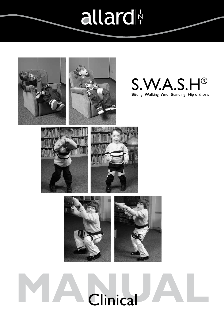## allard



# Clinical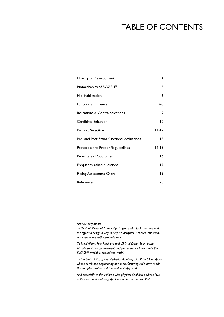## TABLE OF CONTENTs

| History of Development                       | 4               |
|----------------------------------------------|-----------------|
| Biomechanics of SWASH®                       | 5               |
| Hip Stabilization                            | 6               |
| <b>Functional Influence</b>                  | 7-8             |
| Indications & Contraindications              | 9               |
| Candidate Selection                          | 10              |
| <b>Product Selection</b>                     | $11 - 12$       |
| Pre- and Post-fitting functional evaluations | $\overline{13}$ |
| Protocols and Proper fit guidelines          | $14 - 15$       |
| <b>Benefits and Outcomes</b>                 | 16              |
| Frequently asked questions                   | 17              |
| <b>Fitting Assessment Chart</b>              | 19              |
| References                                   | 20              |

*Acknowledgements*

*To Dr. Paul Meyer of Cambridge, England who took the time and the effort to design a way to help his daughter, Rebecca, and children everywhere with cerebral palsy.*

*To Bertil Allard, Past President and CEO of Camp Scandinavia AB, whose vision, commitment and perseverance have made the SWASH® available around the world.*

*To Jan Smits, CPO, of The Netherlands, along with Prim SA of Spain, whose combined engineering and manufacturing skills have made the complex simple, and the simple simply work.*

*And especially to the children with physical disabilities, whose love, enthusiasm and enduring spirit are an inspiration to all of us.*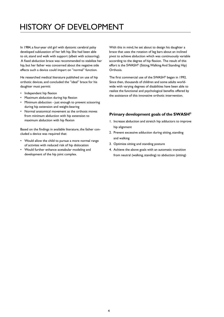## History OF DEVELOPMENT

In 1984, a four-year old girl with dystonic cerebral palsy developed subluxation of her left hip. She had been able to sit, stand and walk with support (albeit with scissoring). A fixed abduction brace was recommended to stabilize her hip, but her father was concerned about the negative side effects such a device could impart on "normal" function.

He researched medical literature published on use of hip orthotic devices, and concluded the "ideal" brace for his daughter must permit:

- • Independent hip flexion
- Maximum abduction during hip flexion
- Minimum abduction just enough to prevent scissoring during hip extension and weight-bearing
- • Normal anatomical movement as the orthosis moves from minimum abduction with hip extension to maximum abduction with hip flexion

Based on the findings in available literature, the father concluded a device was required that:

- Would allow the child to pursue a more normal range of activites with reduced risk of hip dislocation
- Would further enhance acetabular modeling and development of the hip joint complex.

With this in mind, he set about to design his daughter a brace that uses the rotation of leg bars about an inclined pivot to achieve abduction which was continuously variable according to the degree of hip flexion. The result of this effort is the SWASH® (Sitting, Walking And Standing Hip) Orthosis.

The first commercial use of the SWASH® began in 1992. Since then, thousands of children and some adults worldwide with varying degrees of disabilities have been able to realize the functional and psychological benefits offered by the assistance of this innovative orthotic intervention.

#### **Primary development goals of the SWASH®**

- 1. Increase abduction and stretch hip adductors to improve hip alignment
- 2. Prevent excessive adduction during sitting, standing and walking
- 3. Optimize sitting and standing posture
- 4. Achieve the above goals with an automatic transition from neutral (walking, standing) to abduction (sitting)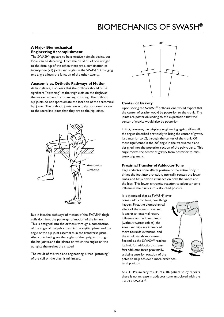## BIOMECHANICS OF SWASH®

#### **A Major Biomechanical Engineering Accomplishment**

The SWASH® appears to be a relatively simple device, but looks can be deceiving. From the distal tip of one upright to the distal tip of the other, there are a combination of twenty-one (21) joints and angles in the SWASH®. Changing one angle affects the function of the other twenty.

#### **Anatomic vs. Orthotic Pathways of Motion**

At first glance, it appears that the orthosis should cause significant "pistoning" of the thigh cuffs on the thighs, as the wearer moves from standing to sitting. The orthotic hip joints do not approximate the location of the anatomical hip joints. The orthotic joints are actually positioned closer to the sacroiliac joints than they are to the hip joints.



But in fact, the pathways of motion of the SWASH® thigh cuffs do mimic the pathways of motion of the femurs. This is designed into the orthosis through a combination of the angle of the pelvic band in the sagittal plane, and the angle of the hip joint assemblies in the transverse plane. Also contributing are the angles of the uprights through the hip joints, and the planes on which the angles on the uprights themselves are shaped.

The result of this tri-plane engineering is that "pistoning" of the cuff on the thigh is minimized.



#### **Center of Gravity**

Upon seeing the SWASH® orthosis, one would expect that the center of gravity would be posterior to the trunk. The joints are posterior, leading to the expectation that the center of gravity would also be posterior.

In fact, however, the tri-plane engineering again utilizes all the angles described previously to bring the center of gravity just anterior to L2, through the center of the trunk. Of most significance is the 20° angle in the transverse plane designed into the posterior section of the pelvic band. This angle moves the center of gravity from posterior to midtrunk alignment.

#### **Proximal Transfer of Adductor Tone**

High adductor tone affects posture of the entire body. It drives the feet into pronation, internally rotates the lower limbs, and has a flexion influence on both the knees and the hips. This lower extremity reaction to adductor tone influences the trunk into a slouched posture.

It is theorized that as SWASH® over-

comes adductor tone, two things happen. First, the biomechanical effect of the tone is reversed. It exerts an external rotary influence on the lower limbs (without twister cables), the knees and hips are influenced more towards extension, and the trunk stands more erect. Second, as the SWASH® reaches its limit for adduction, it transfers adductor force proximally, assisting anterior rotation of the pelvis to help achieve a more erect pos-



tural position.

NOTE: Preliminary results of a 10- patient study reports there is no increase in adductor tone associated with the use of a SWASH®.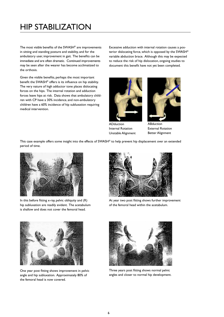## HIP STABILIZATION

The most visible benefits of the SWASH® are improvements in sitting and standing posture and stability, and for the ambulatory user, improvement in gait. The benefits can be immediate and are often dramatic. Continued improvements may be seen after the wearer has become acclimatized to the orthosis.

Given the visible benefits, perhaps the most important benefit the SWASH® offers is its influence on hip stability. The very nature of high adductor tone places dislocating forces on the hips. The internal rotation and adduction forces leave hips at risk. Data shows that ambulatory children with CP have a 30% incidence, and non-ambulatory children have a 60% incidence of hip subluxation requiring medical intervention.

Excessive adduction with internal rotation causes a posterior dislocating force, which is opposed by the SWASH® variable abduction brace. Although this may be expected to reduce the risk of hip dislocation, ongoing studies to document this benefit have not yet been completed.



ADduction Internal Rotation Unstable Alignment



ABduction External Rotation Better Alignment

This case example offers some insight into the effects of SWASH® to help prevent hip displacement over an extended period of time.



In this before fitting x-ray, pelvic obliquity and (R) hip subluxation are readily evident. The acetabulum is shallow and does not cover the femoral head.



One year post fitting shows improvement in pelvic angle and hip subluxation. Approximately 80% of the femoral head is now covered.



At year two post fitting shows further improvement of the femoral head within the acetabulum.



Three years post fitting shows normal pelvic angles and closer to normal hip development.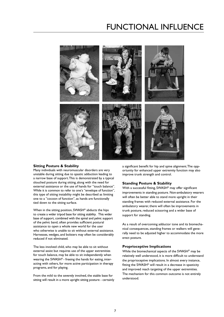### FUNCTIONAL INFLUENCE



#### **Sitting Posture & Stability**

Many individuals with neuromuscular disorders are very unstable during sitting due to spastic adduction leading to a narrow base of support. This is demonstrated by a typical slouched posture during sitting, along with the need for external assistance or the use of hands for "touch balance". While it is common to refer to one's "envelope of function", this type of sitting instability might be described as limiting one to a "cocoon of function", as hands are functionally tied down to the sitting surface.

When in the sitting position, SWASH<sup>®</sup> abducts the hips to create a wider tripod base for sitting stability. This wider base of support, combined with the spinal and pelvic support of the pelvic band, often provides sufficient postural assistance to open a whole new world for the user who otherwise is unable to sit without external assistance. Harnesses, wedges, and bolsters may often be considerably reduced if not eliminated.

The less involved child, who may be able to sit without external assist but requires use of the upper extremities for touch balance, may be able to sit independently when wearing the SWASH® - freeing the hands for eating, interacting with others, for more active participation in therapy programs, and for playing.

From the mild to the severely involved, the stable base for sitting will result in a more upright sitting posture - certainly a significant benefit for hip and spine alignment. The opportunity for enhanced upper extremity function may also improve trunk strength and control.

#### **Standing Posture & Stability**

With a successful fitting, SWASH<sup>®</sup> may offer significant improvements in standing posture. Non-ambulatory wearers will often be better able to stand more upright in their standing frames with reduced external assistance. For the ambulatory wearer, there will often be improvements in trunk posture, reduced scissoring and a wider base of support for standing.

As a result of overcoming adductor tone and its biomechanical consequences, standing frames or walkers will generally need to be adjusted higher to accommodate the more erect posture.

#### **Proprioceptive Implications**

While the biomechanical aspects of the SWASH® may be relatively well understood, it is more difficult to understand the proprioceptive implications. In almost every instance, fitting the SWASH® will result in a decrease in spasticity and improved reach targeting of the upper extremities. The mechanism for this common outcome is not entirely understood.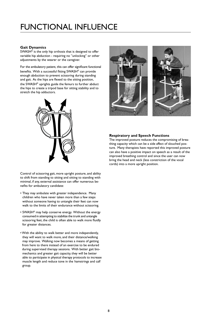## Functional influence

#### **Gait Dynamics**

SWASH® is the only hip orthosis that is designed to offer variable hip abduction - requiring no "unlocking" or other adjustments by the wearer or the caregiver.

For the ambulatory patient, this can offer significant functional benefits. With a successful fitting SWASH® can provide enough abduction to prevent scissoring during standing and gait. As the hips are flexed to the sitting position, the SWASH® uprights guide the femurs to further abduct the hips to create a tripod base for sitting stability and to stretch the hip adductors.



#### **Respiratory and Speech Functions**

The improved posture reduces the compromising of breathing capacity which can be a side affect of slouched posture. Many therapists have reported this improved posture can also have a positive impact on speech as a result of the improved breathing control and since the user can now bring the head and neck (less constriction of the vocal cords) into a more upright position.

Control of scissoring gait, more upright posture, and ability to shift from standing to sitting and sitting to standing with minimal, if any, external assistance can offer numerous benefits for ambulatory candidate:

- They may ambulate with greater independence. Many children who have never taken more than a few steps without someone having to untangle their feet can now walk to the limits of their endurance without scissoring.
- SWASH® may help conserve energy. Without the energy consumed in attempting to stabilize the trunk and untangle scissoring feet, the child is often able to walk more fluidly for greater distances.
- With the ability to walk better and more independently, they will want to walk more, and their distance/walking may improve. Walking now becomes a means of getting from here to there instead of an exercise to be endured during supervised therapy sessions. With better gait biomechanics and greater gait capacity, they will be better able to participate in physical therapy protocols to increase muscle length and reduce tone in the hamstrings and calf group.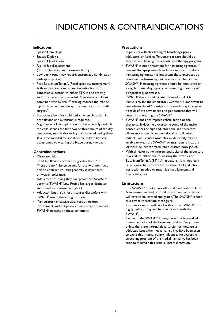## Indications & Contraindications

#### **Indications**

- Spastic Hemiplegia
- Spastic Diplegia
- Spastic Quadriplegia
- Risk of hip displacement (both ambulatory and non-ambulatory)
- Low trunk tone (may require customized combination with spinal jacket).
- Post-Botulinum Toxin A (Focal spasticity management) A three year, randomized multi-centre trial with concealed allocation to either BTX-A and bracing and/or observation concluded: "Injections of BTX-A combined with SWASH® bracing reduces the rate of hip displacement and delays the need for orthopaedic surgery".
- Post-operative For stabilization when abduction in both flexion and extension is required.
- Night Splint This application can be especially useful if the child spends the first two or three hours of the day overcoming muscle shortening that occurred during sleep. It is recommended to first allow the child to become accustomed to wearing the brace during the day.

#### **Contraindications**

- Dislocated hips
- Fixed hip flexion contracture greater than 20°. There are no finite guidelines for use with non-fixed flexion contracture - this generally is dependent on wearer tolerance.
- Adductors so strong they overpower the SWASH® uprights (SWASH® Low Profile has larger diameter and therefore stronger uprights.)
- Adductor length so short it causes discomfort with SWASH® use in the sitting position
- If ambulatory, excessive tibial torsion or foot involvement, without physician assessment of impact SWASH® impacts on these conditions.

#### **Precautions**

- In patients with shortening of hamstrings, psoas, adductors, or Achilles Tendon, great care should be taken when planning the orthotic and therapy program.
- SWASH<sup>®</sup> is not a treatment for hamstring tightness. If current therapy protocols include exercises to relieve hamstring tightness, it is important these exercises be continued as hamstrings will not be stretched in the SWASH®. Hamstring tightness should be monitored on a regular basis. Any signs of increased tightness should be specifically addressed.
- SWASH<sup>®</sup> does not eliminate the need for AFOs. Particularly for the ambulatory wearer, it is important to re-evaluate the AFO design as the needs may change as a result of the new stance and gait patterns that will result from wearing the SWASH®.
- $SWASH^{\circledast}$  does not replace rehabilitation or the therapist. It does help overcome some of the major consequences of high adductor tone and therefore allows more specific and functional rehabilitation.
- Patients with spinal asymmetry or deformity may be unable to wear the SWASH®, or may require that the orthosis be incorporated into a custom body jacket.
- With time, for some wearers, spasticity of the adductors may reduce either due to wearing the orthosis or BotulinumToxin A (BTX-A) injections. It is important on a regular basis to review the amount of abduction correction needed to maximize hip alignment and functional goals.

#### **Limitations**

- The SWASH<sup>®</sup> is not a cure-all for all postural problems. New movement and postural motor control patterns will have to be learned and gained. The SWASH® is seen as a device to facilitate these gains.
- If patients cannot walk at all without the SWASH®, it is highly unlikely they will be able to walk with the SWASH®.
- Even with the SWASH® in use, there may be residual internal rotation of the lower extremities. Very often, unless there are internal tibial torsion or metatarsus adductus issues, the medial hamstrings have been seen to exert this internal rotary influence. An aggressive stretching program of the medial hamstings has been seen to minimize this residual internal rotation.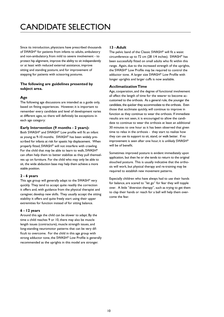## CANDIDATE SELECTION

Since its introduction, physicians have prescribed thousands of SWASH® for patients from infants to adults, ambulatory and non-ambulatory, from mild to severe involvement - to protect hip alignment, improve the ability to sit independently or at least with reduced external assistance, improve sitting and standing posture, and for improvement of stepping for patients with scissoring postures.

#### **The following are guidelines presented by subject area.**

#### **Age**

The following age discussions are intended as a guide only, based on fitting experiences. However, it is important to remember every candidate and level of development varies at different ages, so there will definitely be exceptions in each age category:

#### **Early Intervention (9 months - 2 years):**

Both SWASH® and SWASH® Low profile will fit an infant as young as 9-10 months. SWASH® has been widely prescribed for infants at risk for spastic hip displacement. When properly fitted, SWASH® will not interfere with crawling. For the child that may be able to learn to walk, SWASH® can often help them to better stabilize as they pull themselves up on furniture. For the child who may only be able to sit, the wide abduction base may help them achieve a more stable position.

#### **2 - 6 years**

This age group will generally adapt to the SWASH® very quickly. They tend to accept quite readily the correction it offers and, with guidance from the physical therapist and caregiver, develop new skills. They usually accept the sitting stability it offers and quite freely start using their upper extremities for function instead of for sitting balance.

#### **6 - 12 years**

Around this age the child can be slower to adapt. By the time a child reaches 9 or 10, there may also be muscle length issues (contracture), muscle strength issues, and long-standing neuromotor patterns that can be very difficult to overcome. For the child in this age group with strong adductor tone, the SWASH® Low Profile is generally recommended as the uprights in this model are stronger.

#### **13 - Adult**

The pelvic band of the Classic SWASH® will fit a waist circumference up to 72 cm (28 1/4 inches). SWASH® has been successfully fitted on small adults who fit within this range. Again, due to the increased strength of the uprights, the SWASH® Low Profile may be required to control the adductor tone. A larger size SWASH® Low Profile with longer uprights and larger cuffs is now available.

#### **Acclimatization Time**

Age, cooperation, and the degree of functional involvement all affect the length of time for the wearer to become accustomed to the orthosis. As a general rule, the younger the candidate, the quicker they accommodate to the orthosis. Even those that acclimate quickly, will continue to improve in function as they continue to wear the orthosis. If immediate results are not seen, it is encouraged to allow the candidate to continue to wear the orthosis at least an additional 30 minutes to one hour as it has been observed that given time to relax in the orthosis - they start to realize how they can use its support to sit, stand, or walk better. If no improvement is seen after one hour, it is unlikely SWASH® will be of benefit.

Sometimes improved posture is evident immediately upon application, but then he or she tends to return to the original slouched posture. This is usually indicative that the orthosis will work, but physical therapy and re-training may be required to establish new movement patterns.

Especially children who have always had to use their hands for balance, are scared to "let go" for fear they will topple over. A little "diversion therapy", such as trying to get them to clap their hands or reach for a ball will help them overcome the fear.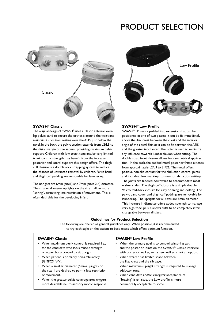## PRODUCT SELECTION





#### **SWASH® Classic**

The original design of SWASH® uses a plastic anterior overlap pelvic band to secure the orthosis around the waist and maintain its position, resting over the ASIS, just below the navel. In the back, the pelvic section extends from L2/L3 to the distal margin of the sacrum, providing maximum pelvic support. Children with low trunk tone and/or very limited trunk control strength may benefit from the increased posterior and lateral support this design offers. The thigh cuff closure is a double-lock strapping system to reduce the chances of unwanted removal by children. Pelvic band and thigh cuff padding are removable for laundering.

The uprights are 6mm (size1) and 7mm (sizes 2-4) diameter. The smaller diameter uprights on the size 1 allow more "spring", permitting less restriction of movement. This is often desirable for the developing infant.

#### **SWASH® Low Profile**

SWASH® LP uses a padded iliac extension that can be positioned in one of two places: it can be fit immediately above the iliac crest between the crest and the inferior angle of the costal flair, or it can be fit between the ASIS and the greater trochanter. The latter is used to minimize any influence towards lumbar flexion when sitting. The double strap front closure allows for symmetrical application. In the back, the padded metal posterior frame extends from approximately L2/L3 to S1/S2. The metal offers positive non-slip contact for the abduction control joints, and includes clear markings to monitor abduction settings. The joints are tapered downward to accommodate most walker styles. The thigh cuff closure is a simple double Velcro fold-back closure for easy donning and doffing. The pelvic band cover and thigh cuff padding are removable for laundering. The uprights for all sizes are 8mm diameter. This increase in diameter offers added strength to manage very high tone, plus it allows cuffs to be completely interchangeable between all sizes.

#### **Guidelines for Product Selection**

The following are offered as general guidelines only. When possible, it is recommended to try each style on the patient to best assess which offers optimum function.

 $\overline{a}$ 

- When maximum trunk control is required, i.e., When the primary goal is to control scissoring gait
- When patient is primarily non-ambulatory When wearer has limited space between (GMFCS IV-V). the iliac crest and the rib cage.
- the size 1 are desired to permit less restriction adductor tone. of movement. **•** When candidate and/or caregiver acceptance of
- more desirable neuro-sensory motor response. cosmetically acceptable to some.

#### **SWASH® Classic SWASH® Low Profile**

- for the candidate who lacks muscle strength and the posterior joints on the SWASH® Classic interfere or upper body control to sit upright. with posterior walker, and a new walker is not an option.
	-
- When a smaller diameter (6mm) uprights on When maximum upright strength is required to manage
- When the greater pelvic coverage area triggers  $\blacksquare$  "bracing" is an issue, the Low profile is more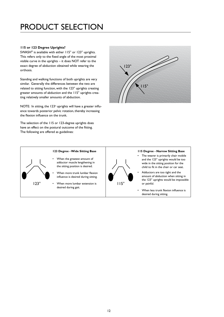## PRODUCT SELECTION

#### **115 or 123 Degree Uprights?**

SWASH® is available with either 115° or 123° uprights. This refers only to the fixed angle of the most proximal visible curve in the uprights – it does NOT refer to the exact degree of abduction obtained while wearing the orthosis.

Standing and walking functions of both uprights are very similar. Generally the differences between the two are related to sitting function, with the 123° uprights creating greater amounts of abduction and the 115° uprights creating relatively smaller amounts of abduction.

NOTE: In sitting, the  $123^\circ$  uprights will have a greater influence towards posterior pelvic rotation, thereby increasing the flexion influence on the trunk.

The selection of the 115 or 123-degree uprights does have an effect on the postural outcome of the fitting. The following are offered as guidelines:



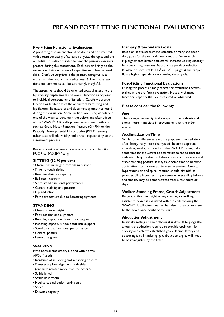#### **Pre-Fitting Functional Evaluations**

A pre-fitting assessment should be done and documented with a team consisting of at least a physical therapist and the orthotist. It is also desirable to have the primary caregiver present during this assessment. Each person brings to the evaluation their own areas of expertise and observational skills. Don't be surprised if the primary caregiver sees more than the rest of the medical team! Their observations and comments can be surprisingly insightful.

The assessments should be oriented toward assessing the hip stability/displacement and overall function as opposed to individual components of function. Carefully observe function or limitations of the adductors, hamstring, and hip flexors. Be aware of and document symmetries found during the evaluation. Some facilities are using videotape as one of the ways to document the before and after effects of the SWASH®. Clinically proven assessment methods such as Gross Motor Function Measure (GMFM), or the Peabody Developmental Motor Scales (PDMS), among other tests will add validity and proven repeatability to the assessment process.

Below is a guide of areas to assess posture and function PRIOR to SWASH® fitting:

#### **SITTING (90/90 position)**

- Overall sitting height from sitting surface
- Time no touch sitting
- Reaching distance capacity
- Ball catch capacity
- Sit to stand functional performance
- General stability and posture
- Hip adduction
- Pelvic tilt posture due to hamstring tightness

#### **STANDING**

- • Overall stance height
- • Foot position and alignment
- Reaching capacity with extrinsic support
- Reaching capacity without extrinsic support
- Stand to squat functional performance
- General posture
- Femoral alignment

#### **WALKING**

(with normal ambulatory aid and with normal AFOs if used)

- Incidence of scissoring and scissoring posture
- Transverse plane alignment both sides (one limb rotated more than the other?)
- Stride length
- Stride base width
- Heel to toe utilization during gait
- Speed
- Distance capacity

#### **Primary & Secondary Goals**

Based on above assessment, establish primary and secondary goals for the orthotic intervention. For example: Hip alignement? Stretch adductors? Increase walking capacity? Improve sitting posture? Appropriate product selection (Classic or Low Profile, 115° or 123° uprights) and proper fit are highly dependent on knowing these goals.

#### **Post-Fitting Functional Evaluations**

During this process, simply repeat the evaluations accomplished in the pre-fitting evaluation. Note any changes in functional capacity that are measured or observed.

#### **Please consider the following:**

#### **Age**

The younger wearer typically adapts to the orthosis and shows more immediate improvements than the older wearer.

#### **Acclimatization Time**

While some differences are usually apparent immediately after fitting, many more changes will become apparent after days, weeks, or months in the SWASH®. It may take some time for the wearer to acclimatize to and to trust the orthosis. Many children will demonstrate a more erect and stable standing posture. It may take some time to become acclimatized to this new posture and elevation. Cervical hyperextension and spinal rotation should diminish as pelvic stability increases. Improvements in standing balance and stability may be demonstrated after a few hours or days.

#### **Walker, Standing Frame, Crutch Adjustment**

Be certain that the height of any standing or walking assistance device is evaluated with the child wearing the SWASH®. It will often need to be raised to accommodate to the new stance height of the child.

#### **Abduction Adjustment**

In initially setting up the orthosis, it is difficult to judge the amount of abduction required to provide optimum hip stability and achieve established goals. If ambulatory and scissoring is still hindering gait, abduction angles willl need to be re-adjusted by the fitter.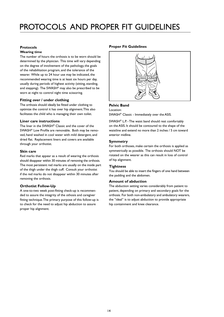## PROTOCOLS AND PROPER FIT GUIDELINES

#### **Protocols**

#### **Wearing time**

The number of hours the orthosis is to be worn should be determined by the physician. This time will vary depending on the degree of involvement of the pathology, the goals of the rehabilitation program, and the tolerance of the wearer. While up to 24 hour use may be indicated, the recommended wearing time is at least six hours per day, usually during periods of highest activity (sitting, standing, and stepping). The SWASH<sup>®</sup> may also be prescribed to be worn at night to control night time scissoring.

#### **Fitting over / under clothing**

The orthosis should ideally be fitted under clothing to optimize the control it has over hip alignment. This also facilitates the child who is managing their own toilet.

#### **Liner care instructions**

The liner in the SWASH® Classic and the cover of the SWASH® Low Profile are removable. Both may be removed, hand washed in cool water with mild detergent, and dried flat. Replacement liners and covers are available through your orthotist.

#### **Skin care**

Red marks that appear as a result of wearing the orthosis should disappear within 30 minutes of removing the orthosis. The most persistent red marks are usually on the inside part of the thigh under the thigh cuff. Consult your orthotist if the red marks do not disappear within 30 minutes after removing the orthosis.

#### **Orthotist Follow-Up**

A one-to-two week post-fitting check-up is recommended to assure the integrity of the othosis and caregiver fitting technique. The primary purpose of this follow-up is to check for the need to adjust hip abduction to assure proper hip alignment.

#### **Proper Fit Guidelines**



#### **Pelvic Band**

#### Location:

SWASH® Classic - Immediately over the ASIS.

SWASH® L.P. - The waist band should rest comfortably on the ASIS. It should be contoured to the shape of the waistline and extend no more than 2 inches / 5 cm toward anterior midline.

#### **Symmetry**

For both orthoses, make certain the orthosis is applied as symmetrically as possible. The orthosis should NOT be rotated on the wearer as this can result in loss of control of hip alignment.

#### **Tightness**

You should be able to insert the fingers of one hand between the padding and the abdomen.

#### **Amount of abduction**

The abduction setting varies considerably from patient to patient, depending on primary and secondary goals for the orthosis. For both non-ambulatory and ambulatory wearers, the "ideal" is to adjust abduction to provide appropriate hip containment and knee clearance.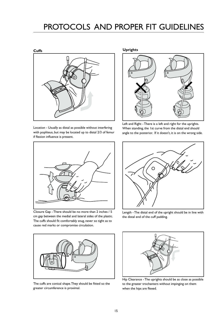## PROTOCOLS AND PROPER FIT GUIDELINES

#### **Cuffs**



Location - Usually as distal as possible without interfering with popliteus, but may be located up to distal 2/3 of femur if flexion influence is present.



Closure Gap - There should be no more than 2 inches / 5 cm gap between the medial and lateral sides of the plastic. The cuffs should fit comfortably snug, never so tight as to cause red marks or compromise circulation.



The cuffs are conical shape. They should be fitted so the greater circumference is proximal.

**Uprights**



Left and Right - There is a left and right for the uprights. When standing, the 1st curve from the distal end should angle to the posterior. If it doesn't, it is on the wrong side.



Length - The distal end of the upright should be in line with the distal end of the cuff padding.



Hip Clearance - The uprights should be as close as possible to the greater trochanters without impinging on them when the hips are flexed.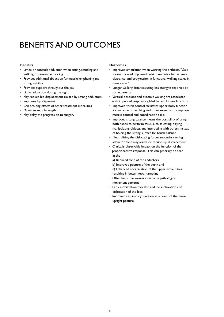## BENEFITS AND OUTCOMES

#### **Benefits**

- Limits or controls adduction when sitting, standing and walking to prevent scissoring
- Provides additional abduction for muscle lengthening and sitting stability
- Provides support throughout the day
- Limits adduction during the night
- May reduce hip displacement caused by strong adductors
- Improves hip alignment
- Can prolong effects of other treatment modalities
- Maintains muscle length
- May delay the progression to surgery

#### **Outcomes**

- Improved ambulation when wearing the orthosis. "Gait scores showed improved pelvic symmetry, better knee clearance, and progression in functional walking scales in most cases"
- Longer walking distances using less energy is reported by some parents
- Vertical positions and dynamic walking are associated with improved respiratory, bladder and kidney functions
- Improved trunk control facilitates upper body function for enhanced stretching and other exercises to improve muscle control and coordination skills
- Improved sitting balance means the possibility of using both hands to perform tasks such as eating, playing, manipulating objects, and interacting with others instead of holding the sitting surface for touch balance
- Neutralizing the dislocating forces secondary to high adductor tone may arrest or reduce hip displacement
- Clinically observable impact on the function of the proprioceptive response. This can generally be seen in the
	- a) Reduced tone of the adductors
	- b) Improved posture of the trunk and
- c) Enhanced coordination of the upper extremities resulting in better reach targeting
- Often helps the wearer overcome pathological movement patterns
- Early mobilization may also reduce subluxation and dislocation of the hips
- Improved respiratory function as a result of the more upright posture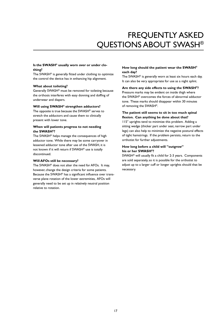## Frequently Asked Questions about SWASH®

#### **Is the SWASH® usually worn over or under clothing?**

The SWASH® is generally fitted under clothing to optimize the control the device has in enhancing hip alignment.

#### **What about toileting?**

Generally SWASH® must be removed for toileting because the orthosis interferes with easy donning and doffing of underwear and diapers.

#### **Will using SWASH® strengthen adductors?**

The opposite is true because the SWASH® serves to stretch the adductors and cause them to clinically present with lower tone.

#### **When will patients progress to not needing the SWASH®?**

The SWASH® helps manage the consequences of high adductor tone. While there may be some carryover in lessened adductor tone after use of the SWASH, it is not known if it will return if SWASH® use is totally discontinued.

#### **Will AFOs still be necessary?**

The SWASH® does not alter the need for AFOs. It may, however, change the design criteria for some patients. Because the SWASH® has a significant influence over transverse plane rotation of the lower extremities, AFOs will generally need to be set up in relatively neutral position relative to rotation.

#### **How long should the patient wear the SWASH® each day?**

The SWASH® is generally worn at least six hours each day. It can also be very appropriate for use as a night splint.

#### **Are there any side effects to using the SWASH®?**

Pressure marks may be evident on inside thigh where the SWASH® overcomes the forces of abnormal adductor tone. These marks should disappear within 30 minutes of removing the SWASH®.

#### **The patient still seems to sit in too much spinal flexion. Can anything be done about that?**

115° uprights tend to minimize this problem. Adding a sitting wedge (thicker part under seat, narrow part under legs) can also help to minimize the negative postural effects of tight hamstrings. If the problem persists, return to the orthotist for further adjustments.

#### **How long before a child will "outgrow" his or her SWASH®?**

SWASH® will usually fit a child for 2-3 years. Components are sold separately, so it is possible for the orthotist to adjust up to a larger cuff or longer uprights should that be necessary.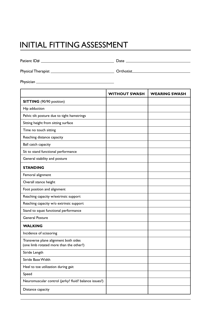## INITIAL FITTING ASSESSMENT

| Patient ID# | )ate<br>– acc |
|-------------|---------------|
|             |               |

Physical Therapist Orthotist

Physician

|                                                                                  | <b>WITHOUT SWASH</b> | <b>WEARING SWASH</b> |
|----------------------------------------------------------------------------------|----------------------|----------------------|
| <b>SITTING</b> (90/90 position)                                                  |                      |                      |
| Hip adduction                                                                    |                      |                      |
| Pelvic tilt posture due to tight hamstrings                                      |                      |                      |
| Sitting height from sitting surface                                              |                      |                      |
| Time no touch sitting                                                            |                      |                      |
| Reaching distance capacity                                                       |                      |                      |
| Ball catch capacity                                                              |                      |                      |
| Sit to stand functional performance                                              |                      |                      |
| General stability and posture                                                    |                      |                      |
| <b>STANDING</b>                                                                  |                      |                      |
| Femoral alignment                                                                |                      |                      |
| Overall stance height                                                            |                      |                      |
| Foot position and alignment                                                      |                      |                      |
| Reaching capacity w/extrinsic support                                            |                      |                      |
| Reaching capacity w/o extrinsic support                                          |                      |                      |
| Stand to squat functional performance                                            |                      |                      |
| <b>General Posture</b>                                                           |                      |                      |
| <b>WALKING</b>                                                                   |                      |                      |
| Incidence of scissoring                                                          |                      |                      |
| Transverse plane alignment both sides<br>(one limb rotated more than the other?) |                      |                      |
| Stride Length                                                                    |                      |                      |
| Stride Base Width                                                                |                      |                      |
| Heel to toe utilization during gait                                              |                      |                      |
| Speed                                                                            |                      |                      |
| Neuromuscular control (jerky? fluid? balance issues?)                            |                      |                      |
| Distance capacity                                                                |                      |                      |